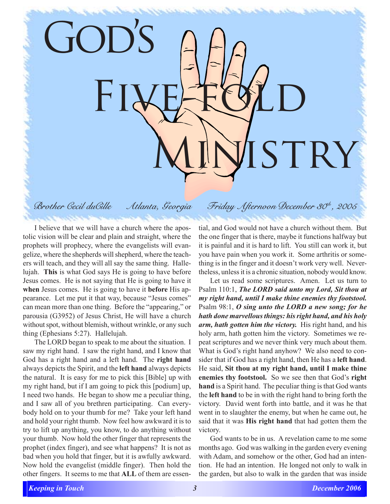ISTRY

FIVE-FOLD

## *Brother Cecil duCille Atlanta, Georgia Friday Afternoon December 30th, 2005*

GOD'S

I believe that we will have a church where the apostolic vision will be clear and plain and straight, where the prophets will prophecy, where the evangelists will evangelize, where the shepherds will shepherd, where the teachers will teach, and they will all say the same thing. Hallelujah. **This** is what God says He is going to have before Jesus comes. He is not saying that He is going to have it **when** Jesus comes. He is going to have it **before** His appearance. Let me put it that way, because "Jesus comes" can mean more than one thing. Before the "appearing," or parousia (G3952) of Jesus Christ, He will have a church without spot, without blemish, without wrinkle, or any such thing (Ephesians 5:27). Hallelujah.

The LORD began to speak to me about the situation. I saw my right hand. I saw the right hand, and I know that God has a right hand and a left hand. The **right hand** always depicts the Spirit, and the **left hand** always depicts the natural. It is easy for me to pick this [Bible] up with my right hand, but if I am going to pick this [podium] up, I need two hands. He began to show me a peculiar thing, and I saw all of you brethren participating. Can everybody hold on to your thumb for me? Take your left hand and hold your right thumb. Now feel how awkward it is to try to lift up anything, you know, to do anything without your thumb. Now hold the other finger that represents the prophet (index finger), and see what happens? It is not as bad when you hold that finger, but it is awfully awkward. Now hold the evangelist (middle finger). Then hold the other fingers. It seems to me that **ALL** of them are essential, and God would not have a church without them. But the one finger that is there, maybe it functions halfway but it is painful and it is hard to lift. You still can work it, but you have pain when you work it. Some arthritis or something is in the finger and it doesn't work very well. Nevertheless, unless it is a chronic situation, nobody would know.

Let us read some scriptures. Amen. Let us turn to Psalm 110:1, *The LORD said unto my Lord, Sit thou at my right hand, until I make thine enemies thy footstool.* Psalm 98:1, *O sing unto the LORD a new song; for he hath done marvellous things: his right hand, and his holy arm, hath gotten him the victory.* His right hand, and his holy arm, hath gotten him the victory. Sometimes we repeat scriptures and we never think very much about them. What is God's right hand anyhow? We also need to consider that if God has a right hand, then He has a **left hand**. He said, **Sit thou at my right hand, until I make thine enemies thy footstool.** So we see then that God's **right hand** is a Spirit hand. The peculiar thing is that God wants the **left hand** to be in with the right hand to bring forth the victory. David went forth into battle, and it was he that went in to slaughter the enemy, but when he came out, he said that it was **His right hand** that had gotten them the victory.

God wants to be in us. A revelation came to me some months ago. God was walking in the garden every evening with Adam, and somehow or the other, God had an intention. He had an intention. He longed not only to walk in the garden, but also to walk in the garden that was inside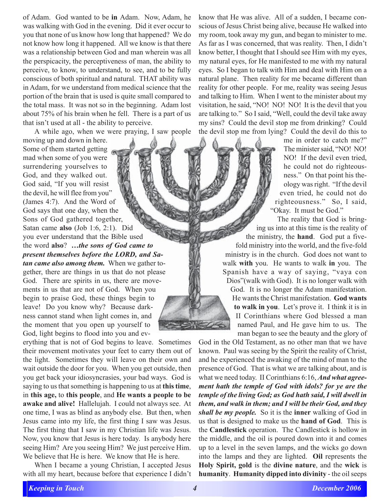of Adam. God wanted to be **in** Adam. Now, Adam, he was walking with God in the evening. Did it ever occur to you that none of us know how long that happened? We do not know how long it happened. All we know is that there was a relationship between God and man wherein was all the perspicacity, the perceptiveness of man, the ability to perceive, to know, to understand, to see, and to be fully conscious of both spiritual and natural. THAT ability was in Adam, for we understand from medical science that the portion of the brain that is used is quite small compared to the total mass. It was not so in the beginning. Adam lost about 75% of his brain when he fell. There is a part of us that isn't used at all - the ability to perceive.

A while ago, when we were praying, I saw people

moving up and down in here. Some of them started getting mad when some of you were surrendering yourselves to God, and they walked out. God said, "If you will resist the devil, he will flee from you" (James 4:7). And the Word of God says that one day, when the Sons of God gathered together, Satan came **also** (Job 1:6, 2:1). Did you ever understand that the Bible used the word **also**? *…the sons of God came to present themselves before the LORD, and Satan came also among them.* When we gather together, there are things in us that do not please God. There are spirits in us, there are movements in us that are not of God. When you begin to praise God, these things begin to leave! Do you know why? Because darkness cannot stand when light comes in, and the moment that you open up yourself to God, light begins to flood into you and ev-

erything that is not of God begins to leave. Sometimes their movement motivates your feet to carry them out of the light. Sometimes they will leave on their own and wait outside the door for you. When you get outside, then you get back your idiosyncrasies, your bad ways. God is saying to us that something is happening to us at **this time**, in **this age,** to **this people**, and **He wants a people to be awake and alive!** Hallelujah. I could not always see. At one time, I was as blind as anybody else. But then, when Jesus came into my life, the first thing I saw was Jesus. The first thing that I saw in my Christian life was Jesus. Now, you know that Jesus is here today. Is anybody here seeing Him? Are you seeing Him? We just perceive Him. We believe that He is here. We know that He is here.

When I became a young Christian, I accepted Jesus with all my heart, because before that experience I didn't know that He was alive. All of a sudden, I became conscious of Jesus Christ being alive, because He walked into my room, took away my gun, and began to minister to me. As far as I was concerned, that was reality. Then, I didn't know better, I thought that I should see Him with my eyes, my natural eyes, for He manifested to me with my natural eyes. So I began to talk with Him and deal with Him on a natural plane. Then reality for me became different than reality for other people. For me, reality was seeing Jesus and talking to Him. When I went to the minister about my visitation, he said, "NO! NO! NO! It is the devil that you are talking to." So I said, "Well, could the devil take away my sins? Could the devil stop me from drinking? Could the devil stop me from lying? Could the devil do this to

me in order to catch me?" The minister said, "NO! NO! NO! If the devil even tried, he could not do righteousness." On that point his theology was right. "If the devil even tried, he could not do righteousness." So, I said, "Okay. It must be God."

The reality that God is bringing us into at this time is the reality of the ministry, the **hand**. God put a fivefold ministry into the world, and the five-fold ministry is in the church. God does not want to walk **with** you. He wants to walk **in** you. The Spanish have a way of saying, "vaya con Dios"(walk with God). It is no longer walk with God. It is no longer the Adam manifestation. He wants the Christ manifestation. **God wants to walk in you**. Let's prove it. I think it is in II Corinthians where God blessed a man named Paul, and He gave him to us. The man began to see the beauty and the glory of

God in the Old Testament, as no other man that we have known. Paul was seeing by the Spirit the reality of Christ, and he experienced the awaking of the mind of man to the presence of God. That is what we are talking about, and is what we need today. II Corinthians 6:16, *And what agreement hath the temple of God with idols? for ye are the temple of the living God; as God hath said, I will dwell in them, and walk in them; and I will be their God, and they shall be my people.* So it is the **inner** walking of God in us that is designed to make us the **hand of God**. This is the **Candlestick** operation. The Candlestick is hollow in the middle, and the oil is poured down into it and comes up to a level in the seven lamps, and the wicks go down into the lamps and they are lighted. **Oil** represents the **Holy Spirit, gold** is the **divine nature**, and the **wick** is **humanity**. **Humanity dipped into divinity** - the oil seeps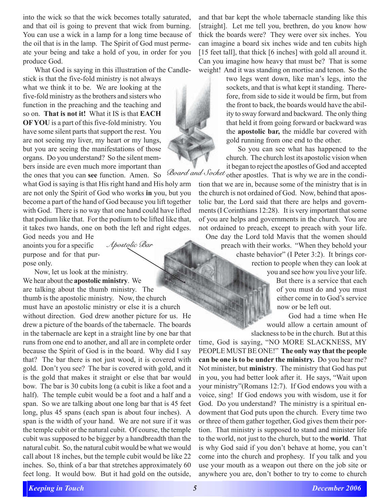into the wick so that the wick becomes totally saturated, and that oil is going to prevent that wick from burning. You can use a wick in a lamp for a long time because of the oil that is in the lamp. The Spirit of God must permeate your being and take a hold of you, in order for you produce God.

What God is saying in this illustration of the Candle-

stick is that the five-fold ministry is not always what we think it to be. We are looking at the five-fold ministry as the brothers and sisters who function in the preaching and the teaching and so on. **That is not it!** What it IS is that **EACH OF YOU** is a part of this five-fold ministry. You have some silent parts that support the rest. You are not seeing my liver, my heart or my lungs, but you are seeing the manifestations of those organs. Do you understand? So the silent members inside are even much more important than the ones that you can **see** function. Amen. So

what God is saying is that His right hand and His holy arm are not only the Spirit of God who works **in** you, but you become a part of the hand of God because you lift together with God. There is no way that one hand could have lifted that podium like that. For the podium to be lifted like that, it takes two hands, one on both the left and right edges.

*Apostolic Bar*

God needs you and He anoints you for a specific purpose and for that purpose only.

**.** Now, let us look at the ministry. We hear about the **apostolic ministry**. We are talking about the thumb ministry. The thumb is the apostolic ministry. Now, the church must have an apostolic ministry or else it is a church without direction. God drew another picture for us. He drew a picture of the boards of the tabernacle. The boards in the tabernacle are kept in a straight line by one bar that runs from one end to another, and all are in complete order because the Spirit of God is in the board. Why did I say that? The bar there is not just wood, it is covered with gold. Don't you see? The bar is covered with gold, and it is the gold that makes it straight or else that bar would bow. The bar is 30 cubits long (a cubit is like a foot and a half). The temple cubit would be a foot and a half and a span. So we are talking about one long bar that is 45 feet long, plus 45 spans (each span is about four inches). A span is the width of your hand. We are not sure if it was the temple cubit or the natural cubit. Of course, the temple cubit was supposed to be bigger by a handbreadth than the natural cubit. So, the natural cubit would be what we would call about 18 inches, but the temple cubit would be like 22 inches. So, think of a bar that stretches approximately 60 feet long. It would bow. But it had gold on the outside,

and that bar kept the whole tabernacle standing like this [straight]. Let me tell you, brethren, do you know how thick the boards were? They were over six inches. You can imagine a board six inches wide and ten cubits high [15 feet tall], that thick [6 inches] with gold all around it. Can you imagine how heavy that must be? That is some weight! And it was standing on mortise and tenon. So the

> two legs went down, like man's legs, into the sockets, and that is what kept it standing. Therefore, from side to side it would be firm, but from the front to back, the boards would have the ability to sway forward and backward. The only thing that held it from going forward or backward was the **apostolic bar,** the middle bar covered with gold running from one end to the other.

> So you can see what has happened to the church. The church lost its apostolic vision when it began to reject the apostles of God and accepted

*Board and Socket* other apostles. That is why we are in the condition that we are in, because some of the ministry that is in the church is not ordained of God. Now, behind that apostolic bar, the Lord said that there are helps and governments (I Corinthians 12:28). It is very important that some of you are helps and governments in the church. You are not ordained to preach, except to preach with your life.

One day the Lord told Mavis that the women should preach with their works. "When they behold your chaste behavior" (I Peter 3:2). It brings correction to people when they can look at you and see how you live your life.

But there is a service that each of you must do and you must either come in to God's service now or be left out.

God had a time when He would allow a certain amount of slackness to be in the church. But at this

time, God is saying, "NO MORE SLACKNESS, MY PEOPLE MUST BE ONE!" **The only way that the people can be one is to be under the ministry.** Do you hear me? Not minister, but **ministry**. The ministry that God has put in you, you had better look after it. He says, "Wait upon your ministry"(Romans 12:7). If God endows you with a voice, sing! If God endows you with wisdom, use it for God. Do you understand? The ministry is a spiritual endowment that God puts upon the church. Every time two or three of them gather together, God gives them their portion. That ministry is supposed to stand and minister life to the world, not just to the church, but to the **world**. That is why God said if you don't behave at home, you can't come into the church and prophesy. If you talk and you use your mouth as a weapon out there on the job site or anywhere you are, don't bother to try to come to church

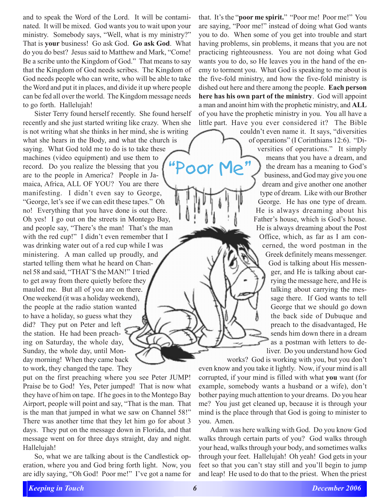and to speak the Word of the Lord. It will be contaminated. It will be mixed. God wants you to wait upon your ministry. Somebody says, "Well, what is my ministry?" That is **your** business! Go ask God. **Go ask God**. What do you do best? Jesus said to Matthew and Mark, "Come! Be a scribe unto the Kingdom of God." That means to say that the Kingdom of God needs scribes. The Kingdom of God needs people who can write, who will be able to take the Word and put it in places, and divide it up where people can be fed all over the world. The Kingdom message needs to go forth. Hallelujah!

Sister Terry found herself recently. She found herself recently and she just started writing like crazy. When she is not writing what she thinks in her mind, she is writing what she hears in the Body, and what the church is saying. What God told me to do is to take these machines (video equipment) and use them to record. Do you realize the blessing that you are to the people in America? People in Jamaica, Africa, ALL OF YOU? You are there manifesting. I didn't even say to George, "George, let's see if we can edit these tapes." Oh no! Everything that you have done is out there. Oh yes! I go out on the streets in Montego Bay, and people say, "There's the man! That's the man with the red cup!" I didn't even remember that I was drinking water out of a red cup while I was ministering. A man called up proudly, and started telling them what he heard on Channel 58 and said, "THAT'S the MAN!" I tried to get away from there quietly before they mauled me. But all of you are on there. One weekend (it was a holiday weekend), the people at the radio station wanted to have a holiday, so guess what they did? They put on Peter and left the station. He had been preaching on Saturday, the whole day, Sunday, the whole day, until Monday morning! When they came back to work, they changed the tape. They "Poor Me"

put on the first preaching where you see Peter JUMP! Praise be to God! Yes, Peter jumped! That is now what they have of him on tape. If he goes in to the Montego Bay Airport, people will point and say, "That is the man. That is the man that jumped in what we saw on Channel 58!" There was another time that they let him go for about 3 days. They put on the message down in Florida, and that message went on for three days straight, day and night. Hallelujah!

So, what we are talking about is the Candlestick operation, where you and God bring forth light. Now, you are idly saying, "Oh God! Poor me!" I've got a name for that. It's the "**poor me spirit.**" "Poor me! Poor me!" You are saying, "Poor me!" instead of doing what God wants you to do. When some of you get into trouble and start having problems, sin problems, it means that you are not practicing righteousness. You are not doing what God wants you to do, so He leaves you in the hand of the enemy to torment you. What God is speaking to me about is the five-fold ministry, and how the five-fold ministry is dished out here and there among the people. **Each person here has his own part of the ministry**. God will appoint a man and anoint him with the prophetic ministry, and **ALL** of you have the prophetic ministry in you. You all have a little part. Have you ever considered it? The Bible

couldn't even name it. It says, "diversities of operations" (I Corinthians 12:6). "Diversities of operations." It simply means that you have a dream, and the dream has a meaning to God's business, and God may give you one dream and give another one another type of dream. Like with our Brother George. He has one type of dream. He is always dreaming about his Father's house, which is God's house. He is always dreaming about the Post

Office, which, as far as I am concerned, the word postman in the Greek definitely means messenger. God is talking about His messenger, and He is talking about carrying the message here, and He is talking about carrying the message there. If God wants to tell George that we should go down the back side of Dubuque and preach to the disadvantaged, He sends him down there in a dream as a postman with letters to deliver. Do you understand how God

works? God is working with you, but you don't even know and you take it lightly. Now, if your mind is all corrupted, if your mind is filled with what **you** want (for example, somebody wants a husband or a wife), don't bother paying much attention to your dreams. Do you hear me? You just get cleaned up, because it is through your mind is the place through that God is going to minister to you. Amen.

Adam was here walking with God. Do you know God walks through certain parts of you? God walks through your head, walks through your body, and sometimes walks through your feet. Hallelujah! Oh yeah! God gets in your feet so that you can't stay still and you'll begin to jump and leap! He used to do that to the priest. When the priest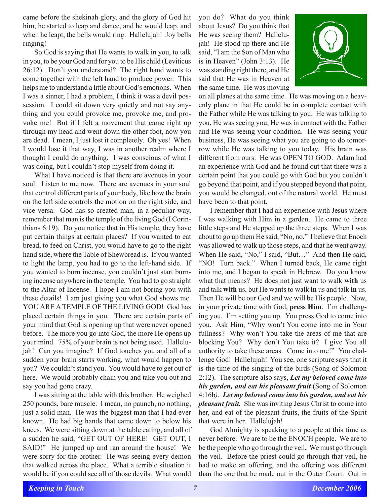came before the shekinah glory, and the glory of God hit him, he started to leap and dance, and he would leap, and when he leapt, the bells would ring. Hallelujah! Joy bells ringing!

So God is saying that He wants to walk in you, to talk in you, to be your God and for you to be His child (Leviticus 26:12). Don't you understand? The right hand wants to come together with the left hand to produce power. This helps me to understand a little about God's emotions. When I was a sinner, I had a problem, I think it was a devil possession. I could sit down very quietly and not say anything and you could provoke me, provoke me, and provoke me! But if I felt a movement that came right up through my head and went down the other foot, now you are dead. I mean, I just lost it completely. Oh yes! When I would lose it that way, I was in another realm where I thought I could do anything. I was conscious of what I was doing, but I couldn't stop myself from doing it.

What I have noticed is that there are avenues in your soul. Listen to me now. There are avenues in your soul that control different parts of your body, like how the brain on the left side controls the motion on the right side, and vice versa. God has so created man, in a peculiar way, remember that man is the temple of the living God (I Corinthians 6:19). Do you notice that in His temple, they have put certain things at certain places? If you wanted to eat bread, to feed on Christ, you would have to go to the right hand side, where the Table of Shewbread is. If you wanted to light the lamp, you had to go to the left-hand side. If you wanted to burn incense, you couldn't just start burning incense anywhere in the temple. You had to go straight to the Altar of Incense. I hope I am not boring you with these details! I am just giving you what God shows me. YOU ARE A TEMPLE OF THE LIVING GOD! God has placed certain things in you. There are certain parts of your mind that God is opening up that were never opened before. The more you go into God, the more He opens up your mind. 75% of your brain is not being used. Hallelujah! Can you imagine? If God touches you and all of a sudden your brain starts working, what would happen to you? We couldn't stand you. You would have to get out of here. We would probably chain you and take you out and say you had gone crazy.

I was sitting at the table with this brother. He weighed 250 pounds, bare muscle. I mean, no paunch, no nothing, just a solid man. He was the biggest man that I had ever known. He had big hands that came down to below his knees. We were sitting down at the table eating, and all of a sudden he said, "GET OUT OF HERE! GET OUT, I SAID!" He jumped up and ran around the house! We were sorry for the brother. He was seeing every demon that walked across the place. What a terrible situation it would be if you could see all of those devils. What would

you do? What do you think about Jesus? Do you think that He was seeing them? Hallelujah! He stood up there and He said, "I am the Son of Man who is in Heaven" (John 3:13). He was standing right there, and He said that He was in Heaven at the same time. He was moving



on all planes at the same time. He was moving on a heavenly plane in that He could be in complete contact with the Father while He was talking to you. He was talking to you, He was seeing you, He was in contact with the Father and He was seeing your condition. He was seeing your business, He was seeing what you are going to do tomorrow while He was talking to you today. His brain was different from ours. He was OPEN TO GOD. Adam had an experience with God and he found out that there was a certain point that you could go with God but you couldn't go beyond that point, and if you stepped beyond that point, you would be changed, out of the natural world. He must have been to that point.

I remember that I had an experience with Jesus where I was walking with Him in a garden. He came to three little steps and He stepped up the three steps. When I was about to go up them He said, "No, no." I believe that Enoch was allowed to walk up those steps, and that he went away. When He said, "No," I said, "But…" And then He said, "NO! Turn back." When I turned back, He came right into me, and I began to speak in Hebrew. Do you know what that means? He does not just want to walk **with** us and talk **with** us, but He wants to walk **in** us and talk **in** us. Then He will be our God and we will be His people. Now, in your private time with God, **press Him**. I'm challenging you. I'm setting you up. You press God to come into you. Ask Him, "Why won't You come into me in Your fullness? Why won't You take the areas of me that are blocking You? Why don't You take it? I give You all authority to take these areas. Come into me!" You challenge God! Hallelujah! You see, one scripture says that it is the time of the singing of the birds (Song of Solomon 2:12). The scripture also says, *Let my beloved come into his garden, and eat his pleasant fruit* (Song of Solomon 4:16b*)*. *Let my beloved come into his garden, and eat his pleasant fruit.* She was inviting Jesus Christ to come into her, and eat of the pleasant fruits, the fruits of the Spirit that were in her. Hallelujah!

God Almighty is speaking to a people at this time as never before. We are to be the ENOCH people. We are to be the people who go through the veil**.** We must go through the veil. Before the priest could go through that veil, he had to make an offering, and the offering was different than the one that he made out in the Outer Court. Out in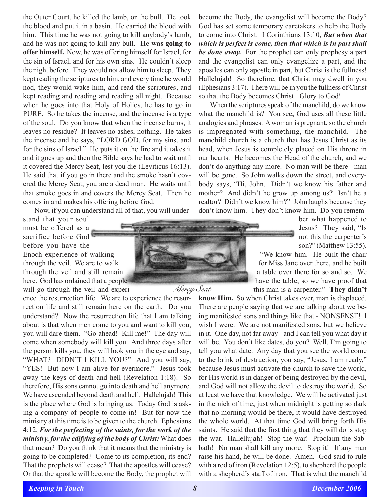the Outer Court, he killed the lamb, or the bull. He took the blood and put it in a basin. He carried the blood with him. This time he was not going to kill anybody's lamb, and he was not going to kill any bull. **He was going to offer himself.** Now, he was offering himself for Israel, for the sin of Israel, and for his own sins. He couldn't sleep the night before. They would not allow him to sleep. They kept reading the scriptures to him, and every time he would nod, they would wake him, and read the scriptures, and kept reading and reading and reading all night. Because when he goes into that Holy of Holies, he has to go in PURE. So he takes the incense, and the incense is a type of the soul. Do you know that when the incense burns, it leaves no residue? It leaves no ashes, nothing. He takes the incense and he says, "LORD GOD, for my sins, and for the sins of Israel." He puts it on the fire and it takes it and it goes up and then the Bible says he had to wait until it covered the Mercy Seat, lest you die (Leviticus 16:13). He said that if you go in there and the smoke hasn't covered the Mercy Seat, you are a dead man. He waits until that smoke goes in and covers the Mercy Seat. Then he comes in and makes his offering before God.

Now, if you can understand all of that, you will under-

stand that your soul must be offered as a sacrifice before God before you have the Enoch experience of walking through the veil. We are to walk through the veil and still remain here. God has ordained that a people will go through the veil and experi-

ence the resurrection life. We are to experience the resurrection life and still remain here on the earth. Do you understand? Now the resurrection life that I am talking about is that when men come to you and want to kill you, you will dare them. "Go ahead! Kill me!" The day will come when somebody will kill you. And three days after the person kills you, they will look you in the eye and say, "WHAT? DIDN'T I KILL YOU?" And you will say, "YES! But now I am alive for evermore." Jesus took away the keys of death and hell (Revelation 1:18). So therefore, His sons cannot go into death and hell anymore. We have ascended beyond death and hell. Hallelujah! This is the place where God is bringing us. Today God is asking a company of people to come in! But for now the ministry at this time is to be given to the church. Ephesians 4:12, *For the perfecting of the saints, for the work of the ministry, for the edifying of the body of Christ:* What does that mean? Do you think that it means that the ministry is going to be completed? Come to its completion, its end? That the prophets will cease? That the apostles will cease? Or that the apostle will become the Body, the prophet will



become the Body, the evangelist will become the Body? God has set some temporary caretakers to help the Body to come into Christ. I Corinthians 13:10, *But when that which is perfect is come, then that which is in part shall be done away.* For the prophet can only prophesy a part and the evangelist can only evangelize a part, and the apostles can only apostle in part, but Christ is the fullness! Hallelujah! So therefore, that Christ may dwell in you (Ephesians 3:17). There will be in you the fullness of Christ so that the Body becomes Christ. Glory to God!

When the scriptures speak of the manchild, do we know what the manchild is? You see, God uses all these little analogies and phrases. A woman is pregnant, so the church is impregnated with something, the manchild. The manchild church is a church that has Jesus Christ as its head, when Jesus is completely placed on His throne in our hearts. He becomes the Head of the church, and we don't do anything any more. No man will be there - man will be gone. So John walks down the street, and everybody says, "Hi, John. Didn't we know his father and mother? And didn't he grow up among us? Isn't he a realtor? Didn't we know him?" John laughs because they don't know him. They don't know him. Do you remem-

> ber what happened to Jesus? They said, "Is not this the carpenter's son?" (Matthew 13:55).

"We know him. He built the chair for Miss Jane over there, and he built a table over there for so and so. We have the table, so we have proof that this man is a carpenter." **They didn't**

**know Him.** So when Christ takes over, man is displaced. There are people saying that we are talking about we being manifested sons and things like that - NONSENSE! I wish I were. We are not manifested sons, but we believe in it. One day, not far away - and I can tell you what day it will be. You don't like dates, do you? Well, I'm going to tell you what date. Any day that you see the world come to the brink of destruction, you say, "Jesus, I am ready," because Jesus must activate the church to save the world, for His world is in danger of being destroyed by the devil, and God will not allow the devil to destroy the world. So at least we have that knowledge. We will be activated just in the nick of time, just when midnight is getting so dark that no morning would be there, it would have destroyed the whole world. At that time God will bring forth His saints. He said that the first thing that they will do is stop the war. Hallellujah! Stop the war! Proclaim the Sabbath! No man shall kill any more. Stop it! If any man raise his hand, he will be done. Amen. God said to rule with a rod of iron (Revelation 12:5), to shepherd the people with a shepherd's staff of iron. That is what the manchild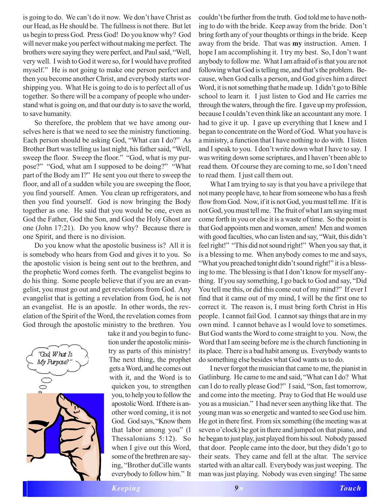is going to do. We can't do it now. We don't have Christ as our Head, as He should be. The fullness is not there. But let us begin to press God. Press God! Do you know why? God will never make you perfect without making me perfect. The brothers were saying they were perfect, and Paul said, "Well, very well. I wish to God it were so, for I would have profited myself." He is not going to make one person perfect and then you become another Christ, and everybody starts worshipping you. What He is going to do is to perfect all of us together. So there will be a company of people who understand what is going on, and that our duty is to save the world, to save humanity.

So therefore, the problem that we have among ourselves here is that we need to see the ministry functioning. Each person should be asking God, "What can I do?" As Brother Burt was telling us last night, his father said, "Well, sweep the floor. Sweep the floor." "God, what is my purpose?" "God, what am I supposed to be doing?" "What part of the Body am I?" He sent you out there to sweep the floor, and all of a sudden while you are sweeping the floor, you find yourself. Amen. You clean up refrigerators, and then you find yourself. God is now bringing the Body together as one. He said that you would be one, even as God the Father, God the Son, and God the Holy Ghost are one (John 17:21). Do you know why? Because there is one Spirit, and there is no division.

Do you know what the apostolic business is? All it is is somebody who hears from God and gives it to you. So the apostolic vision is being sent out to the brethren, and the prophetic Word comes forth. The evangelist begins to do his thing. Some people believe that if you are an evangelist, you must go out and get revelations from God. Any evangelist that is getting a revelation from God, he is not an evangelist. He is an apostle. In other words, the revelation of the Spirit of the Word, the revelation comes from God through the apostolic ministry to the brethren. You



take it and you begin to function under the apostolic ministry as parts of this ministry! The next thing, the prophet gets a Word, and he comes out with it, and the Word is to quicken you, to strengthen you, to help you to follow the apostolic Word. If there is another word coming, it is not God. God says, "Know them that labor among you" (I Thessalonians 5:12). So when I give out this Word, some of the brethren are saying, "Brother duCille wants everybody to follow him." It

couldn't be further from the truth. God told me to have nothing to do with the bride. Keep away from the bride. Don't bring forth any of your thoughts or things in the bride. Keep away from the bride. That was **my** instruction. Amen. I hope I am accomplishing it. I try my best. So, I don't want anybody to follow me. What I am afraid of is that you are not following what God is telling me, and that's the problem. Because, when God calls a person, and God gives him a direct Word, it is not something that he made up. I didn't go to Bible school to learn it. I just listen to God and He carries me through the waters, through the fire. I gave up my profession, because I couldn't even think like an accountant any more. I had to give it up. I gave up everything that I knew and I began to concentrate on the Word of God. What you have is a ministry, a function that I have nothing to do with. I listen and I speak to you. I don't write down what I have to say. I was writing down some scriptures, and I haven't been able to read them. Of course they are coming to me, so I don't need to read them. I just call them out.

What I am trying to say is that you have a privilege that not many people have, to hear from someone who has a fresh flow from God. Now, if it is not God, you must tell me. If it is not God, you must tell me. The fruit of what I am saying must come forth in you or else it is a waste of time. So the point is that God appoints men and women, amen! Men and women with good faculties, who can listen and say, "Wait, this didn't feel right!" "This did not sound right!" When you say that, it is a blessing to me. When anybody comes to me and says, "What you preached tonight didn't sound right!" it is a blessing to me. The blessing is that I don't know for myself anything. If you say something, I go back to God and say, "Did You tell me this, or did this come out of my mind?" If ever I find that it came out of my mind, I will be the first one to correct it. The reason is, I must bring forth Christ in His people. I cannot fail God. I cannot say things that are in my own mind. I cannot behave as I would love to sometimes. But God wants the Word to come straight to you. Now, the Word that I am seeing before me is the church functioning in its place. There is a bad habit among us. Everybody wants to do something else besides what God wants us to do.

I never forgot the musician that came to me, the pianist in Gatlinburg. He came to me and said, "What can I do? What can I do to really please God?" I said, "Son, fast tomorrow, and come into the meeting. Pray to God that He would use you as a musician." I had never seen anything like that. The young man was so energetic and wanted to see God use him. He got in there first. From six something (the meeting was at seven o'clock) he got in there and jumped on that piano, and he began to just play, just played from his soul. Nobody passed that door. People came into the door, but they didn't go to their seats. They came and fell at the altar. The service started with an altar call. Everybody was just weeping. The man was just playing. Nobody was even singing! The same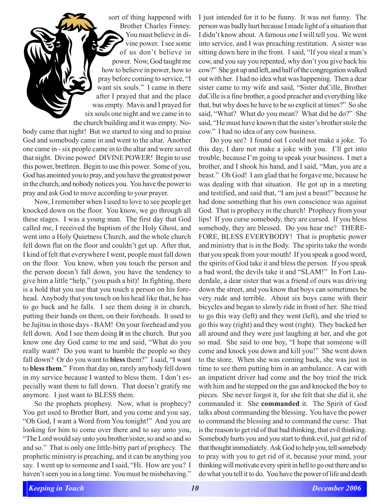sort of thing happened with Brother Charles Finney. You must believe in divine power. I see some of us don't believe in power. Now, God taught me how to believe in power, how to pray before coming to service, "I want six souls." I came in there after I prayed that and the place was empty. Mavis and I prayed for six souls one night and we came in to the church building and it was empty. Nobody came that night! But we started to sing and to praise God and somebody came in and went to the altar. Another one came in - six people came in to the altar and were saved that night. Divine power! DIVINE POWER! Begin to use this power, brethren. Begin to use this power. Some of you, God has anointed you to pray, and you have the greatest power in the church, and nobody notices you. You have the power to pray and ask God to move according to your prayer.

Now, I remember when I used to love to see people get knocked down on the floor. You know, we go through all these stages. I was a young man. The first day that God called me, I received the baptism of the Holy Ghost, and went into a Holy Quietness Church, and the whole church fell down flat on the floor and couldn't get up. After that, I kind of felt that everywhere I went, people must fall down on the floor. You know, when you touch the person and the person doesn't fall down, you have the tendency to give him a little "help," (you push a bit)! In fighting, there is a hold that you use that you touch a person on his forehead. Anybody that you touch on his head like that, he has to go back and he falls. I see them doing it in church, putting their hands on them, on their foreheads. It used to be Jujitsu in those days - BAM! On your forehead and you fell down. And I see them doing **it** in the church. But you know one day God came to me and said, "What do you really want? Do you want to humble the people so they fall down? Or do you want to **bless** them?" I said, "I want to **bless them**." From that day on, rarely anybody fell down in my service because I wanted to bless them. I don't especially want them to fall down. That doesn't gratify me anymore. I just want to BLESS them.

So the prophets prophesy. Now, what is prophecy? You get used to Brother Burt, and you come and you say, "Oh God, I want a Word from You tonight!" And you are looking for him to come over there and to say unto you, "The Lord would say unto you brother/sister, so and so and so and so." That is only one little-bitty part of prophecy. The prophetic ministry is preaching, and it can be anything you say. I went up to someone and I said, "Hi. How are you? I haven't seen you in a long time. You must be misbehaving." I just intended for it to be funny. It was not funny. The person was badly hurt because I made light of a situation that I didn't know about. A famous one I will tell you. We went into service, and I was preaching restitution. A sister was sitting down here in the front. I said, "If you steal a man's cow, and you say you repented, why don't you give back his cow?" She got up and left, and half of the congregation walked out with her. I had no idea what was happening. Then a dear sister came to my wife and said, "Sister duCille, Brother duCille is a fine brother, a good preacher and everything like that, but why does he have to be so explicit at times?" So she said, "What? What do you mean? What did he do?" She said, "He must have known that the sister's brother stole the cow." I had no idea of any cow business.

Do you see? I found out I could not make a joke. To this day, I dare not make a joke with you. I'll get into trouble, because I'm going to speak your business. I met a brother, and I shook his hand, and I said, "Man, you are a beast." Oh God! I am glad that he forgave me, because he was dealing with that situation. He got up in a meeting and testified, and said that, "I am just a beast!" because he had done something that his own conscience was against God. That is prophecy in the church! Prophecy from your lips! If you curse somebody, they are cursed. If you bless somebody, they are blessed. Do you hear me? THERE-FORE, BLESS EVERYBODY! That is prophetic power and ministry that is in the Body. The spirits take the words that you speak from your mouth! If you speak a good word, the spirits of God take it and bless the person. If you speak a bad word, the devils take it and "SLAM!" In Fort Lauderdale, a dear sister that was a friend of ours was driving down the street, and you know that boys can sometimes be very rude and terrible. About six boys came with their bicycles and began to slowly ride in front of her. She tried to go this way (left) and they went (left), and she tried to go this way (right) and they went (right). They backed her all around and they were just laughing at her, and she got so mad. She said to one boy, "I hope that someone will come and knock you down and kill you!" She went down to the store. When she was coming back, she was just in time to see them putting him in an ambulance. A car with an impatient driver had come and the boy tried the trick with him and he stepped on the gas and knocked the boy to pieces. She never forgot it, for she felt that she did it, she commanded it. She **commanded** it. The Spirit of God talks about commanding the blessing. You have the power to command the blessing and to command the curse.That is the reason to get rid of that bad thinking, that evil thinking. Somebody hurts you and you start to think evil, just get rid of that thought immediately. Ask God to help you, tell somebody to pray with you to get rid of it, because your mind, your thinking will motivate every spirit in hell to go out there and to do what you tell it to do. You have the power of life and death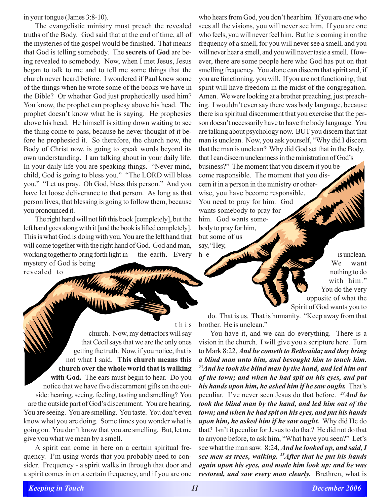in your tongue (James 3:8-10).

The evangelistic ministry must preach the revealed truths of the Body. God said that at the end of time, all of the mysteries of the gospel would be finished. That means that God is telling somebody. The **secrets of God** are being revealed to somebody. Now, when I met Jesus, Jesus began to talk to me and to tell me some things that the church never heard before. I wondered if Paul knew some of the things when he wrote some of the books we have in the Bible? Or whether God just prophetically used him? You know, the prophet can prophesy above his head. The prophet doesn't know what he is saying. He prophesies above his head. He himself is sitting down waiting to see the thing come to pass, because he never thought of it before he prophesied it. So therefore, the church now, the Body of Christ now, is going to speak words beyond its own understanding. I am talking about in your daily life. In your daily life you are speaking things. "Never mind, child, God is going to bless you." "The LORD will bless you." "Let us pray. Oh God, bless this person." And you have let loose deliverance to that person. As long as that person lives, that blessing is going to follow them, because you pronounced it.

The right hand will not lift this book [completely], but the left hand goes along with it [and the book is lifted completely]. This is what God is doing with you. You are the left hand that will come together with the right hand of God. God and man, working together to bring forth light in the earth. Every mystery of God is being

revealed to

this

church. Now, my detractors will say that Cecil says that we are the only ones getting the truth. Now, if you notice, that is not what I said. **This church means this church over the whole world that is walking with God.** The ears must begin to hear. Do you notice that we have five discernment gifts on the outside: hearing, seeing, feeling, tasting and smelling? You are the outside part of God's discernment. You are hearing. You are seeing. You are smelling. You taste. You don't even know what you are doing. Some times you wonder what is going on. You don't know that you are smelling. But, let me give you what we mean by a smell.

A spirit can come in here on a certain spiritual frequency. I'm using words that you probably need to consider. Frequency - a spirit walks in through that door and a spirit comes in on a certain frequency, and if you are one

who hears from God, you don't hear him. If you are one who sees all the visions, you will never see him. If you are one who feels, you will never feel him. But he is coming in on the frequency of a smell, for you will never see a smell, and you will never hear a smell, and you will never taste a smell. However, there are some people here who God has put on that smelling frequency. You alone can discern that spirit and, if you are functioning, you will. If you are not functioning, that spirit will have freedom in the midst of the congregation. Amen. We were looking at a brother preaching, just preaching. I wouldn't even say there was body language, because there is a spiritual discernment that you exercise that the person doesn't necessarily have to have the body language. You are talking about psychology now. BUT you discern that that man is unclean. Now, you ask yourself, "Why did I discern that the man is unclean? Why did God set that in the Body, that I can discern uncleanness in the ministration of God's business?" The moment that you discern it you become responsible. The moment that you discern it in a person in the ministry or otherwise, you have become responsible. You need to pray for him. God wants somebody to pray for him. God wants somebody to pray for him, but some of us say, "Hey,

h e is unclean. We want nothing to do with him." You do the very opposite of what the Spirit of God wants you to

do. That is us. That is humanity. "Keep away from that brother. He is unclean."

You have it, and we can do everything. There is a vision in the church. I will give you a scripture here. Turn to Mark 8:22, *And he cometh to Bethsaida; and they bring a blind man unto him, and besought him to touch him. 23And he took the blind man by the hand, and led him out of the town; and when he had spit on his eyes, and put his hands upon him, he asked him if he saw ought.* That's peculiar. I've never seen Jesus do that before. *23And he took the blind man by the hand, and led him out of the town; and when he had spit on his eyes, and put his hands upon him, he asked him if he saw ought.*Why did He do that? Isn't it peculiar for Jesus to do that? He did not do that to anyone before, to ask him, "What have you seen?" Let's see what the man saw. 8:24, *And he looked up, and said, I see men as trees, walking. 25After that he put his hands again upon his eyes, and made him look up: and he was restored, and saw every man clearly.* Brethren, what is